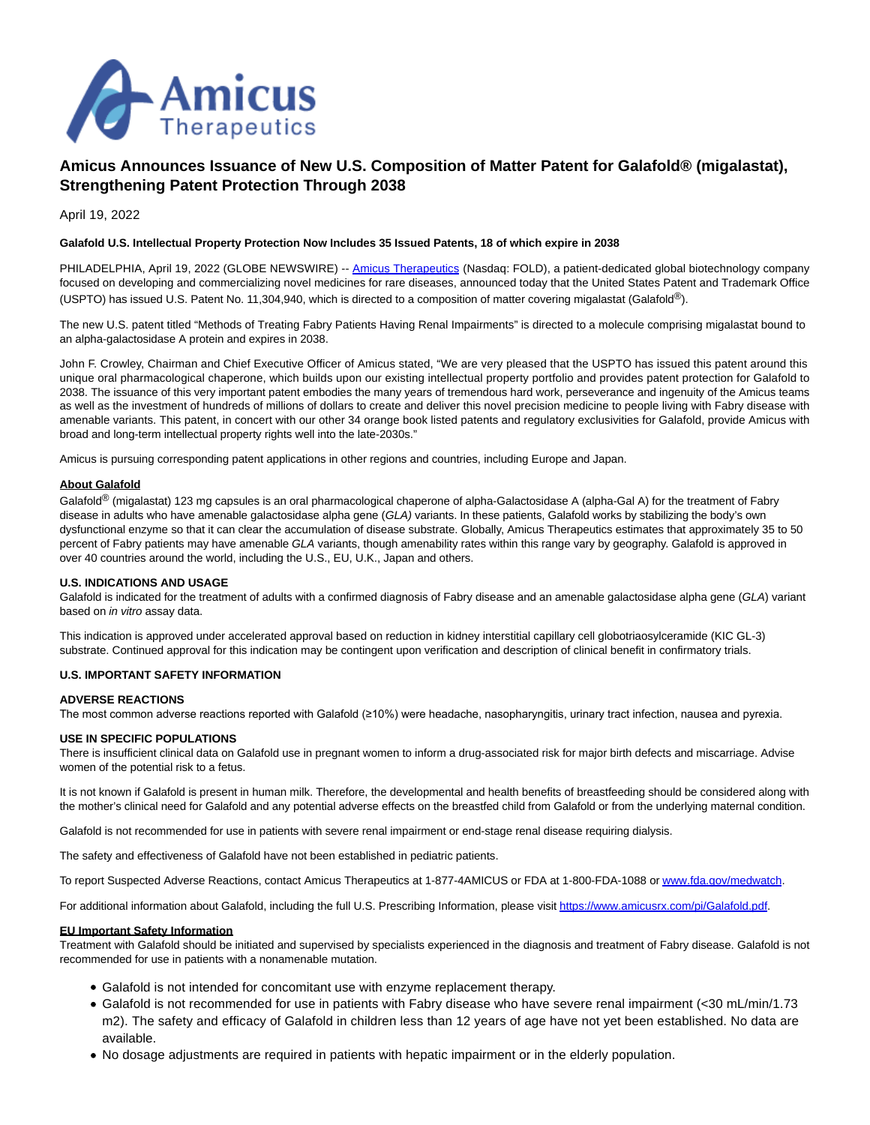

# **Amicus Announces Issuance of New U.S. Composition of Matter Patent for Galafold® (migalastat), Strengthening Patent Protection Through 2038**

April 19, 2022

## **Galafold U.S. Intellectual Property Protection Now Includes 35 Issued Patents, 18 of which expire in 2038**

PHILADELPHIA, April 19, 2022 (GLOBE NEWSWIRE) -- [Amicus Therapeutics \(](https://www.globenewswire.com/Tracker?data=98SZMB78MUzob_wj-ASrfeavuthWzc3cUMAzj-9XfvCLH4_WYT_A9HUPZARJOrOz9EkJUQqW740L8mPwk_IzJd_qyU1xL-obFpOOVkxDqUw=)Nasdaq: FOLD), a patient-dedicated global biotechnology company focused on developing and commercializing novel medicines for rare diseases, announced today that the United States Patent and Trademark Office (USPTO) has issued U.S. Patent No. 11,304,940, which is directed to a composition of matter covering migalastat (Galafold®).

The new U.S. patent titled "Methods of Treating Fabry Patients Having Renal Impairments" is directed to a molecule comprising migalastat bound to an alpha-galactosidase A protein and expires in 2038.

John F. Crowley, Chairman and Chief Executive Officer of Amicus stated, "We are very pleased that the USPTO has issued this patent around this unique oral pharmacological chaperone, which builds upon our existing intellectual property portfolio and provides patent protection for Galafold to 2038. The issuance of this very important patent embodies the many years of tremendous hard work, perseverance and ingenuity of the Amicus teams as well as the investment of hundreds of millions of dollars to create and deliver this novel precision medicine to people living with Fabry disease with amenable variants. This patent, in concert with our other 34 orange book listed patents and regulatory exclusivities for Galafold, provide Amicus with broad and long-term intellectual property rights well into the late-2030s."

Amicus is pursuing corresponding patent applications in other regions and countries, including Europe and Japan.

### **About Galafold**

Galafold<sup>®</sup> (migalastat) 123 mg capsules is an oral pharmacological chaperone of alpha-Galactosidase A (alpha-Gal A) for the treatment of Fabry disease in adults who have amenable galactosidase alpha gene (GLA) variants. In these patients, Galafold works by stabilizing the body's own dysfunctional enzyme so that it can clear the accumulation of disease substrate. Globally, Amicus Therapeutics estimates that approximately 35 to 50 percent of Fabry patients may have amenable GLA variants, though amenability rates within this range vary by geography. Galafold is approved in over 40 countries around the world, including the U.S., EU, U.K., Japan and others.

### **U.S. INDICATIONS AND USAGE**

Galafold is indicated for the treatment of adults with a confirmed diagnosis of Fabry disease and an amenable galactosidase alpha gene (GLA) variant based on in vitro assay data.

This indication is approved under accelerated approval based on reduction in kidney interstitial capillary cell globotriaosylceramide (KIC GL-3) substrate. Continued approval for this indication may be contingent upon verification and description of clinical benefit in confirmatory trials.

### **U.S. IMPORTANT SAFETY INFORMATION**

#### **ADVERSE REACTIONS**

The most common adverse reactions reported with Galafold (≥10%) were headache, nasopharyngitis, urinary tract infection, nausea and pyrexia.

### **USE IN SPECIFIC POPULATIONS**

There is insufficient clinical data on Galafold use in pregnant women to inform a drug-associated risk for major birth defects and miscarriage. Advise women of the potential risk to a fetus.

It is not known if Galafold is present in human milk. Therefore, the developmental and health benefits of breastfeeding should be considered along with the mother's clinical need for Galafold and any potential adverse effects on the breastfed child from Galafold or from the underlying maternal condition.

Galafold is not recommended for use in patients with severe renal impairment or end-stage renal disease requiring dialysis.

The safety and effectiveness of Galafold have not been established in pediatric patients.

To report Suspected Adverse Reactions, contact Amicus Therapeutics at 1-877-4AMICUS or FDA at 1-800-FDA-1088 o[r www.fda.gov/medwatch.](https://www.globenewswire.com/Tracker?data=JfUoZUP2Jd20bPD-R_QZF_s0294hriUt5jtS_A1-SM1Li4SFRggJByhoWFaLMkHJtUVYk8VxpUR2hrd_WGMDf_qjvMawB44Y_j4OIGgDmJQnNZN5l_tgoddHneHIwvG0ZPXAlAm9-bihTG6cnbPqRi3IVJdu98o4nxy-RFDql_IoQGk2v6NkzHLSIVXbX_j1ZD-l95u9kawrOyXgtcWcxAuZWiI2pRJ3-4Koa8JhCs_IZryzYT1EzpEgvSpK2Ee8Ra_CmwQNB239t7wUDv6dSA==)

For additional information about Galafold, including the full U.S. Prescribing Information, please visit [https://www.amicusrx.com/pi/Galafold.pdf.](https://www.globenewswire.com/Tracker?data=14VFcpyAdfzeWlL3Oqn6-K7-NIzBud3BbW6I7WTWg7dcARn_K6W3EwpnW8PkzA8h5dX1QklTyCB-HsxgYTpCv0ZNQf9vo1i-xVuY0KQDpXTnjoFQKoBoOU-Oe18Mq_mlAeCh4WgUse4We8ZmhoMI8ulM0VX0PYS7nXYXDnq1iLIMSjYbVpdnfutp5YjMVZHcXwpnk_JCa100ZtyTsfIujNm2KHcUCxFO5fm-Su0myrmvvHlOHLOje24R0GUISt7ohPFnDMR3Ktiuxg0M1h4e9Z4tDnHZ2ArrSp785zY_G75tYHaF9zIgLweWGsYjlVXZIg5YCDxZ-4Jv9lNzHnGQbl9ZFTDCI2cYWp-faOhqONk=)

#### **EU Important Safety Information**

Treatment with Galafold should be initiated and supervised by specialists experienced in the diagnosis and treatment of Fabry disease. Galafold is not recommended for use in patients with a nonamenable mutation.

- Galafold is not intended for concomitant use with enzyme replacement therapy.
- Galafold is not recommended for use in patients with Fabry disease who have severe renal impairment (<30 mL/min/1.73 m2). The safety and efficacy of Galafold in children less than 12 years of age have not yet been established. No data are available.
- No dosage adjustments are required in patients with hepatic impairment or in the elderly population.